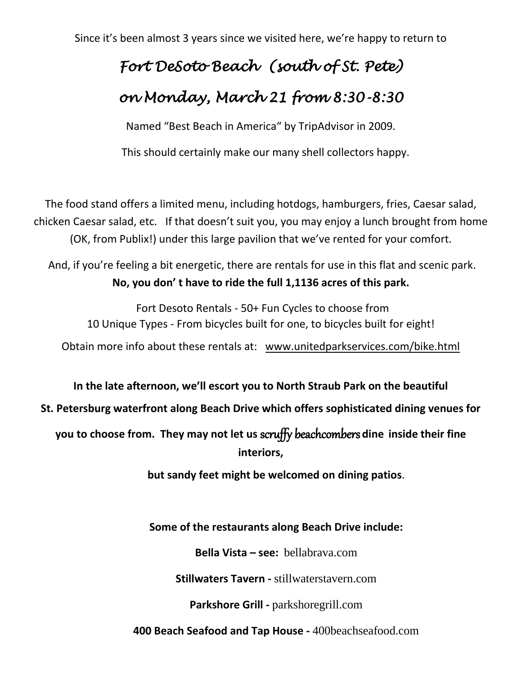Since it's been almost 3 years since we visited here, we're happy to return to

# *Fort DeSoto Beach (south of St. Pete) on Monday, March 21 from 8:30-8:30*

Named "Best Beach in America" by TripAdvisor in 2009.

This should certainly make our many shell collectors happy.

The food stand offers a limited menu, including hotdogs, hamburgers, fries, Caesar salad, chicken Caesar salad, etc. If that doesn't suit you, you may enjoy a lunch brought from home (OK, from Publix!) under this large pavilion that we've rented for your comfort.

And, if you're feeling a bit energetic, there are rentals for use in this flat and scenic park. **No, you don' t have to ride the full 1,1136 acres of this park.**

Fort Desoto Rentals - 50+ Fun Cycles to choose from 10 Unique Types - From bicycles built for one, to bicycles built for eight! Obtain more info about these rentals at: [www.unitedparkservices.com/bike.html](http://www.unitedparkservices.com/bike.html)

**In the late afternoon, we'll escort you to North Straub Park on the beautiful** 

**St. Petersburg waterfront along Beach Drive which offers sophisticated dining venues for** 

**you to choose from. They may not let us** scruffy beachcombers **dine inside their fine interiors,** 

**but sandy feet might be welcomed on dining patios**.

**Some of the restaurants along Beach Drive include:**

**Bella Vista – see:** [bellabrava.com](https://www.google.com/url?sa=t&rct=j&url=http%3A%2F%2Fwww.bellabrava.com%2F&source=maps&cd=1&usg=AFQjCNErWmYYasnuJrOJ_2XNC7sX50_BDg&sig2=pPDURlhp0D3XubTwKQWnGQ&ved=1i%3A0%2Ct%3A3443%2Cp%3AABalVq3qLIj1mAHSi4yQBw%3A19)

**Stillwaters Tavern -** [stillwaterstavern.com](https://www.google.com/url?sa=t&rct=j&url=http%3A%2F%2Fstillwaterstavern.com%2F&source=maps&cd=1&usg=AFQjCNETQMSD7461b-jazZaXghGWWIkibA&sig2=90i18VWP4kY-UFvALHduRA&ved=1i%3A0%2Ct%3A14146%2Cp%3AABalVq3qLIj1mAHSi4yQBw%3A23)

**Parkshore Grill -** [parkshoregrill.com](https://www.google.com/url?sa=t&rct=j&url=http%3A%2F%2Fwww.parkshoregrill.com%2F&source=maps&cd=1&usg=AFQjCNGGAqEiHWWw6L3OUxo9G3SP3Lyutg&sig2=X4qa7KM_1et1wUhwzPB95w&ved=1i%3A0%2Ct%3A3443%2Cp%3AABalVq3qLIj1mAHSi4yQBw%3A28)

**400 Beach Seafood and Tap House -** [400beachseafood.com](https://www.google.com/url?sa=t&rct=j&url=http%3A%2F%2Fwww.400beachseafood.com%2F&source=maps&cd=1&usg=AFQjCNHnQ1H84oBOnqgzaWDT3SKU2FHhCw&sig2=4_TOwoNURTKhkmzksNB2zQ&ved=1i%3A0%2Ct%3A3443%2Cp%3AABalVq3qLIj1mAHSi4yQBw%3A32)